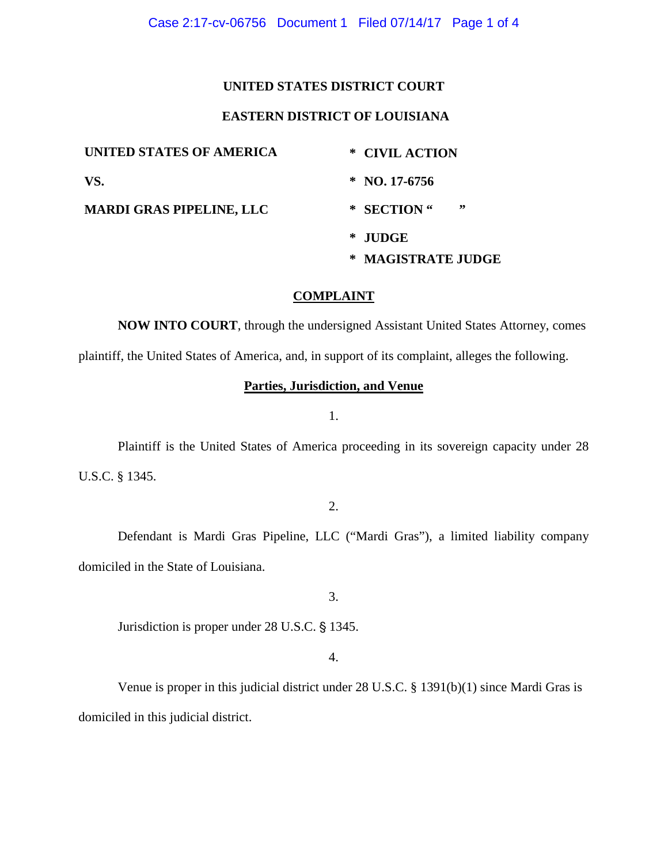# **UNITED STATES DISTRICT COURT**

# **EASTERN DISTRICT OF LOUISIANA**

| UNITED STATES OF AMERICA        | * CIVIL ACTION     |
|---------------------------------|--------------------|
| VS.                             | $*$ NO. 17-6756    |
| <b>MARDI GRAS PIPELINE, LLC</b> | ,,<br>* SECTION"   |
|                                 | * JUDGE            |
|                                 | * MAGISTRATE JUDGE |

# **COMPLAINT**

**NOW INTO COURT**, through the undersigned Assistant United States Attorney, comes

plaintiff, the United States of America, and, in support of its complaint, alleges the following.

# **Parties, Jurisdiction, and Venue**

1.

Plaintiff is the United States of America proceeding in its sovereign capacity under 28 U.S.C. § 1345.

2.

Defendant is Mardi Gras Pipeline, LLC ("Mardi Gras"), a limited liability company domiciled in the State of Louisiana.

3.

Jurisdiction is proper under 28 U.S.C. § 1345.

4.

Venue is proper in this judicial district under 28 U.S.C. § 1391(b)(1) since Mardi Gras is domiciled in this judicial district.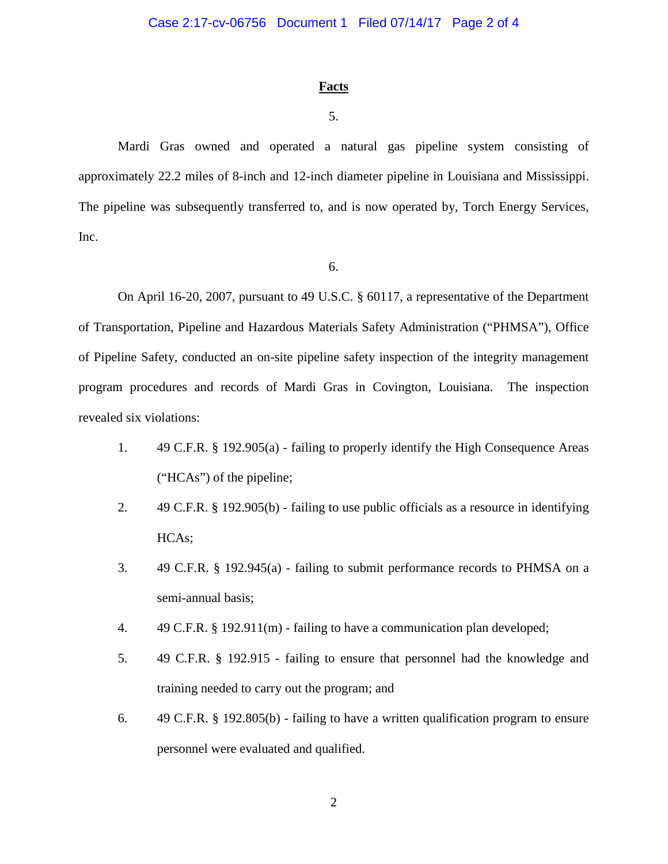#### **Facts**

# 5.

Mardi Gras owned and operated a natural gas pipeline system consisting of approximately 22.2 miles of 8-inch and 12-inch diameter pipeline in Louisiana and Mississippi. The pipeline was subsequently transferred to, and is now operated by, Torch Energy Services, Inc.

6.

On April 16-20, 2007, pursuant to 49 U.S.C. § 60117, a representative of the Department of Transportation, Pipeline and Hazardous Materials Safety Administration ("PHMSA"), Office of Pipeline Safety, conducted an on-site pipeline safety inspection of the integrity management program procedures and records of Mardi Gras in Covington, Louisiana. The inspection revealed six violations:

- 1. 49 C.F.R. § 192.905(a) failing to properly identify the High Consequence Areas ("HCAs") of the pipeline;
- 2. 49 C.F.R. § 192.905(b) failing to use public officials as a resource in identifying HCAs;
- 3. 49 C.F.R. § 192.945(a) failing to submit performance records to PHMSA on a semi-annual basis;
- 4. 49 C.F.R. § 192.911(m) failing to have a communication plan developed;
- 5. 49 C.F.R. § 192.915 failing to ensure that personnel had the knowledge and training needed to carry out the program; and
- 6. 49 C.F.R. § 192.805(b) failing to have a written qualification program to ensure personnel were evaluated and qualified.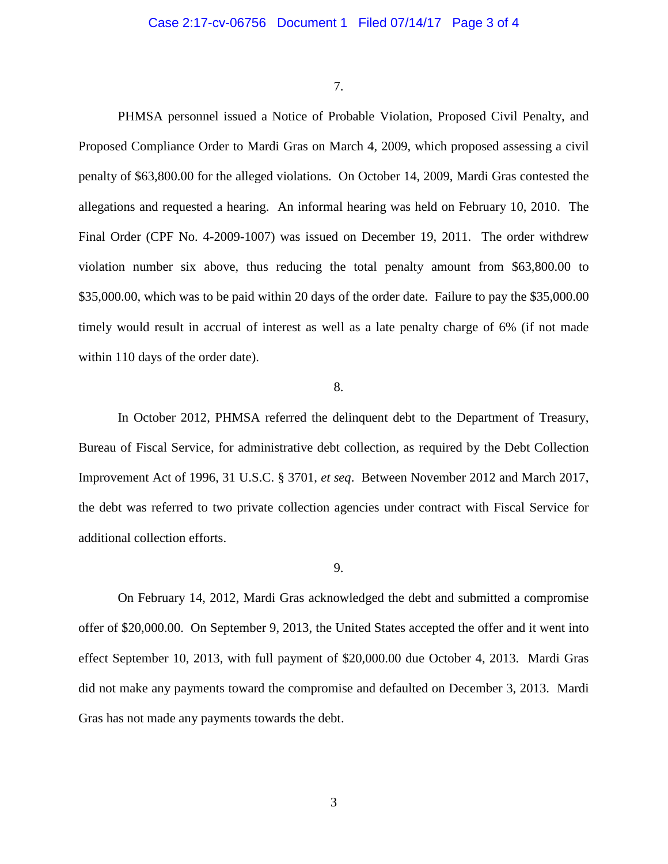7.

PHMSA personnel issued a Notice of Probable Violation, Proposed Civil Penalty, and Proposed Compliance Order to Mardi Gras on March 4, 2009, which proposed assessing a civil penalty of \$63,800.00 for the alleged violations. On October 14, 2009, Mardi Gras contested the allegations and requested a hearing. An informal hearing was held on February 10, 2010. The Final Order (CPF No. 4-2009-1007) was issued on December 19, 2011. The order withdrew violation number six above, thus reducing the total penalty amount from \$63,800.00 to \$35,000.00, which was to be paid within 20 days of the order date. Failure to pay the \$35,000.00 timely would result in accrual of interest as well as a late penalty charge of 6% (if not made within 110 days of the order date).

#### 8.

In October 2012, PHMSA referred the delinquent debt to the Department of Treasury, Bureau of Fiscal Service, for administrative debt collection, as required by the Debt Collection Improvement Act of 1996, 31 U.S.C. § 3701, *et seq*. Between November 2012 and March 2017, the debt was referred to two private collection agencies under contract with Fiscal Service for additional collection efforts.

#### 9.

On February 14, 2012, Mardi Gras acknowledged the debt and submitted a compromise offer of \$20,000.00. On September 9, 2013, the United States accepted the offer and it went into effect September 10, 2013, with full payment of \$20,000.00 due October 4, 2013. Mardi Gras did not make any payments toward the compromise and defaulted on December 3, 2013. Mardi Gras has not made any payments towards the debt.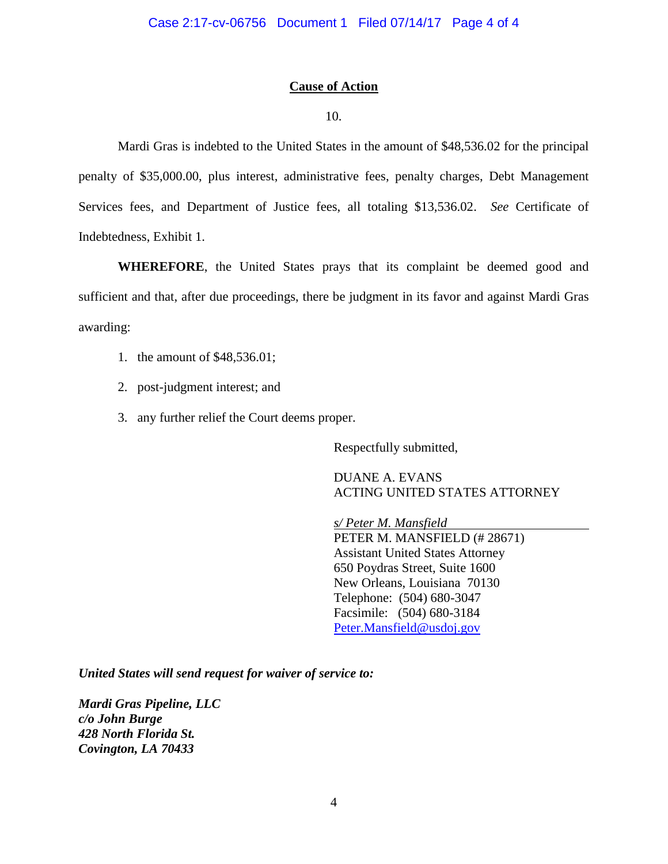# **Cause of Action**

### 10.

Mardi Gras is indebted to the United States in the amount of \$48,536.02 for the principal penalty of \$35,000.00, plus interest, administrative fees, penalty charges, Debt Management Services fees, and Department of Justice fees, all totaling \$13,536.02. *See* Certificate of Indebtedness, Exhibit 1.

**WHEREFORE**, the United States prays that its complaint be deemed good and sufficient and that, after due proceedings, there be judgment in its favor and against Mardi Gras awarding:

- 1. the amount of \$48,536.01;
- 2. post-judgment interest; and
- 3. any further relief the Court deems proper.

Respectfully submitted,

DUANE A. EVANS ACTING UNITED STATES ATTORNEY

*s/ Peter M. Mansfield* PETER M. MANSFIELD (# 28671) Assistant United States Attorney 650 Poydras Street, Suite 1600 New Orleans, Louisiana 70130 Telephone: (504) 680-3047 Facsimile: (504) 680-3184 Peter.Mansfield@usdoj.gov

*United States will send request for waiver of service to:*

*Mardi Gras Pipeline, LLC c/o John Burge 428 North Florida St. Covington, LA 70433*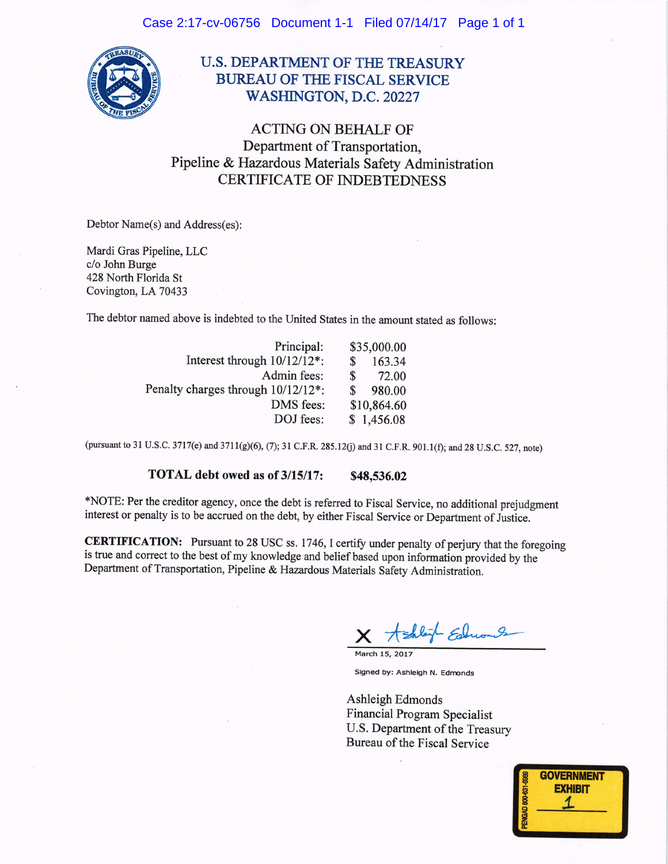

# **U.S. DEPARTMENT OF THE TREASURY BUREAU OF THE FISCAL SERVICE** WASHINGTON, D.C. 20227

**ACTING ON BEHALF OF** Department of Transportation, Pipeline & Hazardous Materials Safety Administration **CERTIFICATE OF INDEBTEDNESS** 

Debtor Name(s) and Address(es):

Mardi Gras Pipeline, LLC c/o John Burge 428 North Florida St Covington, LA 70433

The debtor named above is indebted to the United States in the amount stated as follows:

| Principal:                         | \$35,000.00 |        |  |
|------------------------------------|-------------|--------|--|
| Interest through 10/12/12*:        | \$          | 163.34 |  |
| Admin fees:                        | \$          | 72.00  |  |
| Penalty charges through 10/12/12*: |             | 980.00 |  |
| DMS fees:                          | \$10,864.60 |        |  |
| DOJ fees:                          | \$1,456.08  |        |  |

(pursuant to 31 U.S.C. 3717(e) and 3711(g)(6), (7); 31 C.F.R. 285.12(j) and 31 C.F.R. 901.1(f); and 28 U.S.C. 527, note)

#### TOTAL debt owed as of 3/15/17: \$48,536.02

\*NOTE: Per the creditor agency, once the debt is referred to Fiscal Service, no additional prejudgment interest or penalty is to be accrued on the debt, by either Fiscal Service or Department of Justice.

**CERTIFICATION:** Pursuant to 28 USC ss. 1746, I certify under penalty of perjury that the foregoing is true and correct to the best of my knowledge and belief based upon information provided by the Department of Transportation, Pipeline & Hazardous Materials Safety Administration.

Shleik Educa

Signed by: Ashleigh N. Edmonds

Ashleigh Edmonds **Financial Program Specialist** U.S. Department of the Treasury Bureau of the Fiscal Service

| PENGAD 800-631-6989 | <b>GOVERNMENT</b><br><b>EXHIBIT</b> |  |
|---------------------|-------------------------------------|--|
|                     |                                     |  |